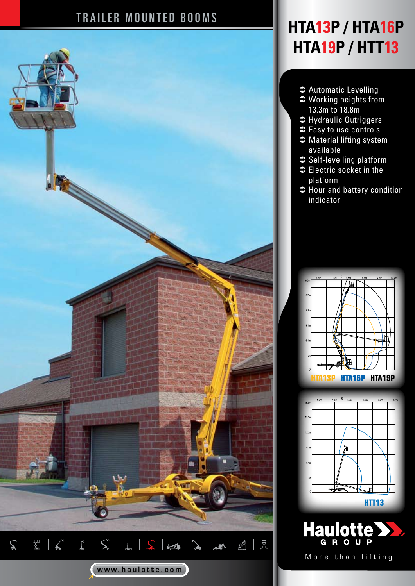## TRAILER MOUNTED BOOMS



## **HTA13P / HTA16P HTA19P / HTT13**

- $\bullet$  Automatic Levelling
- $\bullet$  Working heights from 13.3m to 18.8m
- $\Rightarrow$  Hydraulic Outriggers
- $\bullet$  Easy to use controls
- $\bullet$  Material lifting system available
- $\supset$  Self-levelling platform
- $\bullet$  Electric socket in the platform
- $\Rightarrow$  Hour and battery condition indicator







More than lifting